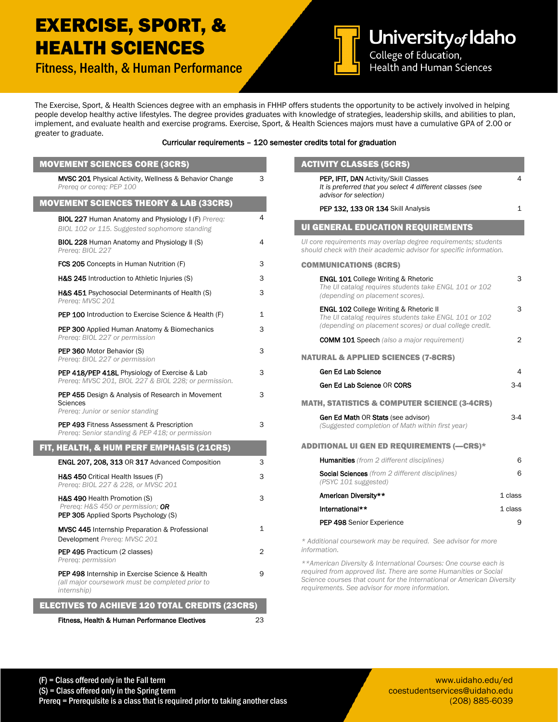## EXERCISE, SPORT, & HEALTH SCIENCES

Fitness, Health, & Human Performance



University of Idaho Health and Human Sciences

The Exercise, Sport, & Health Sciences degree with an emphasis in FHHP offers students the opportunity to be actively involved in helping people develop healthy active lifestyles. The degree provides graduates with knowledge of strategies, leadership skills, and abilities to plan, implement, and evaluate health and exercise programs. Exercise, Sport, & Health Sciences majors must have a cumulative GPA of 2.00 or greater to graduate.

## Curricular requirements – 120 semester credits total for graduation

| <b>MOVEMENT SCIENCES CORE (3CRS)</b>                                                                                              |              |
|-----------------------------------------------------------------------------------------------------------------------------------|--------------|
| <b>MVSC 201</b> Physical Activity, Wellness & Behavior Change<br>Prereg or coreg: PEP 100                                         | 3            |
| <b>MOVEMENT SCIENCES THEORY &amp; LAB (33CRS)</b>                                                                                 |              |
| <b>BIOL 227 Human Anatomy and Physiology I (F) Prereg:</b><br>BIOL 102 or 115. Suggested sophomore standing                       | 4            |
| <b>BIOL 228 Human Anatomy and Physiology II (S)</b><br>Prereq: BIOL 227                                                           | 4            |
| <b>FCS 205</b> Concepts in Human Nutrition (F)                                                                                    | 3            |
| H&S 245 Introduction to Athletic Injuries (S)                                                                                     | 3            |
| H&S 451 Psychosocial Determinants of Health (S)<br>Prereg: MVSC 201                                                               | 3            |
| <b>PEP 100</b> Introduction to Exercise Science & Health (F)                                                                      | $\mathbf{1}$ |
| <b>PEP 300</b> Applied Human Anatomy & Biomechanics<br>Prereq: BIOL 227 or permission                                             | 3            |
| <b>PEP 360 Motor Behavior (S)</b><br>Prereg: BIOL 227 or permission                                                               | 3            |
| PEP 418/PEP 418L Physiology of Exercise & Lab<br>Prereq: MVSC 201, BIOL 227 & BIOL 228; or permission.                            | 3            |
| <b>PEP 455</b> Design & Analysis of Research in Movement<br>Sciences<br>Prereq: Junior or senior standing                         | 3            |
| <b>PEP 493 Fitness Assessment &amp; Prescription</b><br>Prereq: Senior standing & PEP 418; or permission                          | 3            |
| FIT, HEALTH, & HUM PERF EMPHASIS (21CRS)                                                                                          |              |
| ENGL 207, 208, 313 OR 317 Advanced Composition                                                                                    | 3            |
| H&S 450 Critical Health Issues (F)<br>Prereq: BIOL 227 & 228, or MVSC 201                                                         | 3            |
| H&S 490 Health Promotion (S)<br>Prereq: H&S 450 or permission; OR<br><b>PEP 305</b> Applied Sports Psychology (S)                 | 3            |
| <b>MVSC 445</b> Internship Preparation & Professional<br>Development Prereq: MVSC 201                                             | 1            |
| PEP 495 Practicum (2 classes)<br>Prereg: permission                                                                               | 2            |
| <b>PEP 498</b> Internship in Exercise Science & Health<br>(all major coursework must be completed prior to<br><i>internship</i> ) | 9            |
| <b>ELECTIVES TO ACHIEVE 120 TOTAL CREDITS (23CRS)</b>                                                                             |              |
| Fitness, Health & Human Performance Electives                                                                                     | 23           |

| <b>ACTIVITY CLASSES (5CRS)</b>                                                                                                                             |              |
|------------------------------------------------------------------------------------------------------------------------------------------------------------|--------------|
| PEP, IFIT, DAN Activity/Skill Classes<br>It is preferred that you select 4 different classes (see<br>advisor for selection)                                | 4            |
| PEP 132, 133 OR 134 Skill Analysis                                                                                                                         | $\mathbf{1}$ |
| <b>UI GENERAL EDUCATION REQUIREMENTS</b>                                                                                                                   |              |
| UI core requirements may overlap degree requirements; students<br>should check with their academic advisor for specific information.                       |              |
| <b>COMMUNICATIONS (8CRS)</b>                                                                                                                               |              |
| <b>ENGL 101 College Writing &amp; Rhetoric</b><br>The UI catalog requires students take ENGL 101 or 102<br>(depending on placement scores).                | 3            |
| ENGL 102 College Writing & Rhetoric II<br>The UI catalog requires students take ENGL 101 or 102<br>(depending on placement scores) or dual college credit. | 3            |
| <b>COMM 101 Speech</b> (also a major requirement)                                                                                                          | 2            |
| <b>NATURAL &amp; APPLIED SCIENCES (7-8CRS)</b>                                                                                                             |              |
| Gen Ed Lab Science                                                                                                                                         | 4            |
| Gen Ed Lab Science OR CORS                                                                                                                                 | $3-4$        |
| <b>MATH, STATISTICS &amp; COMPUTER SCIENCE (3-4CRS)</b>                                                                                                    |              |
| <b>Gen Ed Math OR Stats (see advisor)</b><br>(Suggested completion of Math within first year)                                                              | 3-4          |
| <b>ADDITIONAL UI GEN ED REQUIREMENTS (-CRS)*</b>                                                                                                           |              |
| <b>Humanities</b> (from 2 different disciplines)                                                                                                           | 6            |
| <b>Social Sciences</b> (from 2 different disciplines)<br>(PSYC 101 suggested)                                                                              | 6            |
| American Diversity**                                                                                                                                       | 1 class      |
| International**                                                                                                                                            | 1 class      |
| <b>PEP 498 Senior Experience</b>                                                                                                                           | 9            |
| * Additional coursework may be required. See advisor for more<br>information.                                                                              |              |
| **American Diversity & International Courses: One course each is                                                                                           |              |

*required from approved list. There are some Humanities or Social Science courses that count for the International or American Diversity requirements. See advisor for more information.* 

www.uidaho.edu/ed coestudentservices@uidaho.edu (208) 885-6039